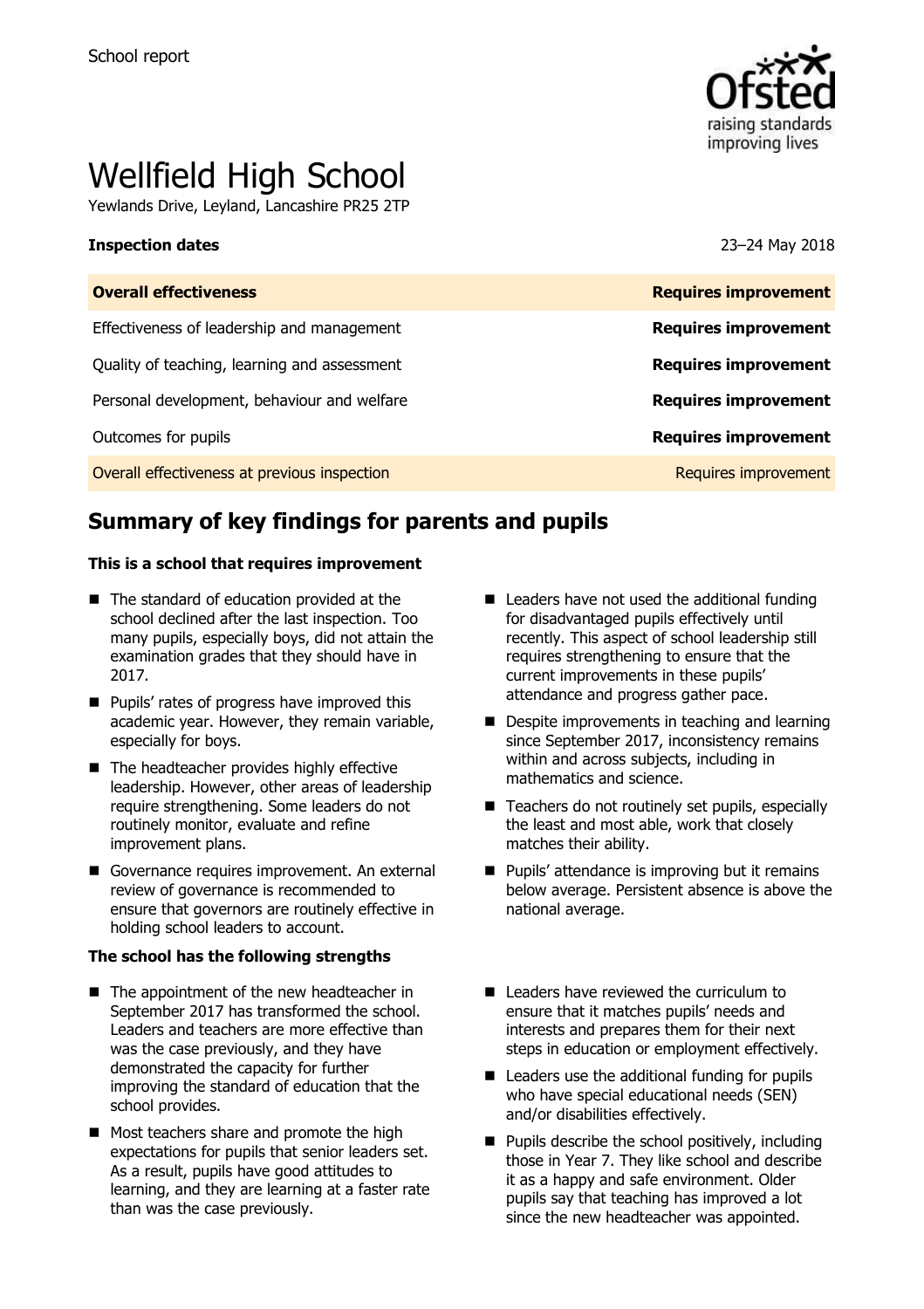

# Wellfield High School

Yewlands Drive, Leyland, Lancashire PR25 2TP

#### **Inspection dates** 23–24 May 2018

| <b>Overall effectiveness</b>                 | <b>Requires improvement</b> |
|----------------------------------------------|-----------------------------|
| Effectiveness of leadership and management   | <b>Requires improvement</b> |
| Quality of teaching, learning and assessment | <b>Requires improvement</b> |
| Personal development, behaviour and welfare  | <b>Requires improvement</b> |
| Outcomes for pupils                          | <b>Requires improvement</b> |
| Overall effectiveness at previous inspection | Requires improvement        |
|                                              |                             |

# **Summary of key findings for parents and pupils**

#### **This is a school that requires improvement**

- The standard of education provided at the school declined after the last inspection. Too many pupils, especially boys, did not attain the examination grades that they should have in 2017.
- **Pupils' rates of progress have improved this** academic year. However, they remain variable, especially for boys.
- The headteacher provides highly effective leadership. However, other areas of leadership require strengthening. Some leaders do not routinely monitor, evaluate and refine improvement plans.
- Governance requires improvement. An external review of governance is recommended to ensure that governors are routinely effective in holding school leaders to account.

#### **The school has the following strengths**

- The appointment of the new headteacher in September 2017 has transformed the school. Leaders and teachers are more effective than was the case previously, and they have demonstrated the capacity for further improving the standard of education that the school provides.
- Most teachers share and promote the high expectations for pupils that senior leaders set. As a result, pupils have good attitudes to learning, and they are learning at a faster rate than was the case previously.
- $\blacksquare$  Leaders have not used the additional funding for disadvantaged pupils effectively until recently. This aspect of school leadership still requires strengthening to ensure that the current improvements in these pupils' attendance and progress gather pace.
- Despite improvements in teaching and learning since September 2017, inconsistency remains within and across subjects, including in mathematics and science.
- $\blacksquare$  Teachers do not routinely set pupils, especially the least and most able, work that closely matches their ability.
- **Pupils' attendance is improving but it remains** below average. Persistent absence is above the national average.
- Leaders have reviewed the curriculum to ensure that it matches pupils' needs and interests and prepares them for their next steps in education or employment effectively.
- $\blacksquare$  Leaders use the additional funding for pupils who have special educational needs (SEN) and/or disabilities effectively.
- $\blacksquare$  Pupils describe the school positively, including those in Year 7. They like school and describe it as a happy and safe environment. Older pupils say that teaching has improved a lot since the new headteacher was appointed.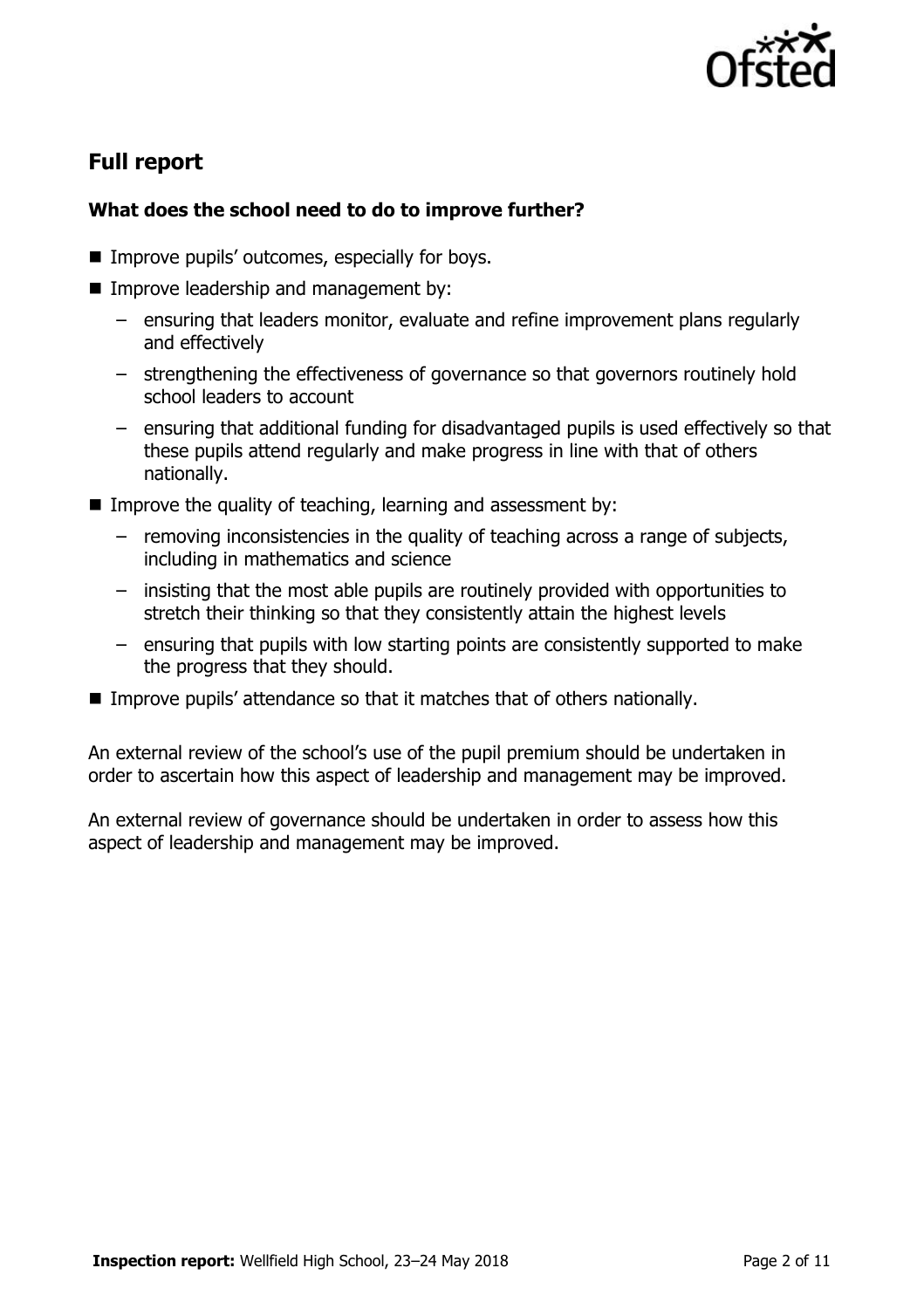

# **Full report**

# **What does the school need to do to improve further?**

- **IMPROVE pupils' outcomes, especially for boys.**
- **Improve leadership and management by:** 
	- ensuring that leaders monitor, evaluate and refine improvement plans regularly and effectively
	- strengthening the effectiveness of governance so that governors routinely hold school leaders to account
	- ensuring that additional funding for disadvantaged pupils is used effectively so that these pupils attend regularly and make progress in line with that of others nationally.
- Improve the quality of teaching, learning and assessment by:
	- removing inconsistencies in the quality of teaching across a range of subjects, including in mathematics and science
	- insisting that the most able pupils are routinely provided with opportunities to stretch their thinking so that they consistently attain the highest levels
	- ensuring that pupils with low starting points are consistently supported to make the progress that they should.
- **IMPROVE PUPILS' attendance so that it matches that of others nationally.**

An external review of the school's use of the pupil premium should be undertaken in order to ascertain how this aspect of leadership and management may be improved.

An external review of governance should be undertaken in order to assess how this aspect of leadership and management may be improved.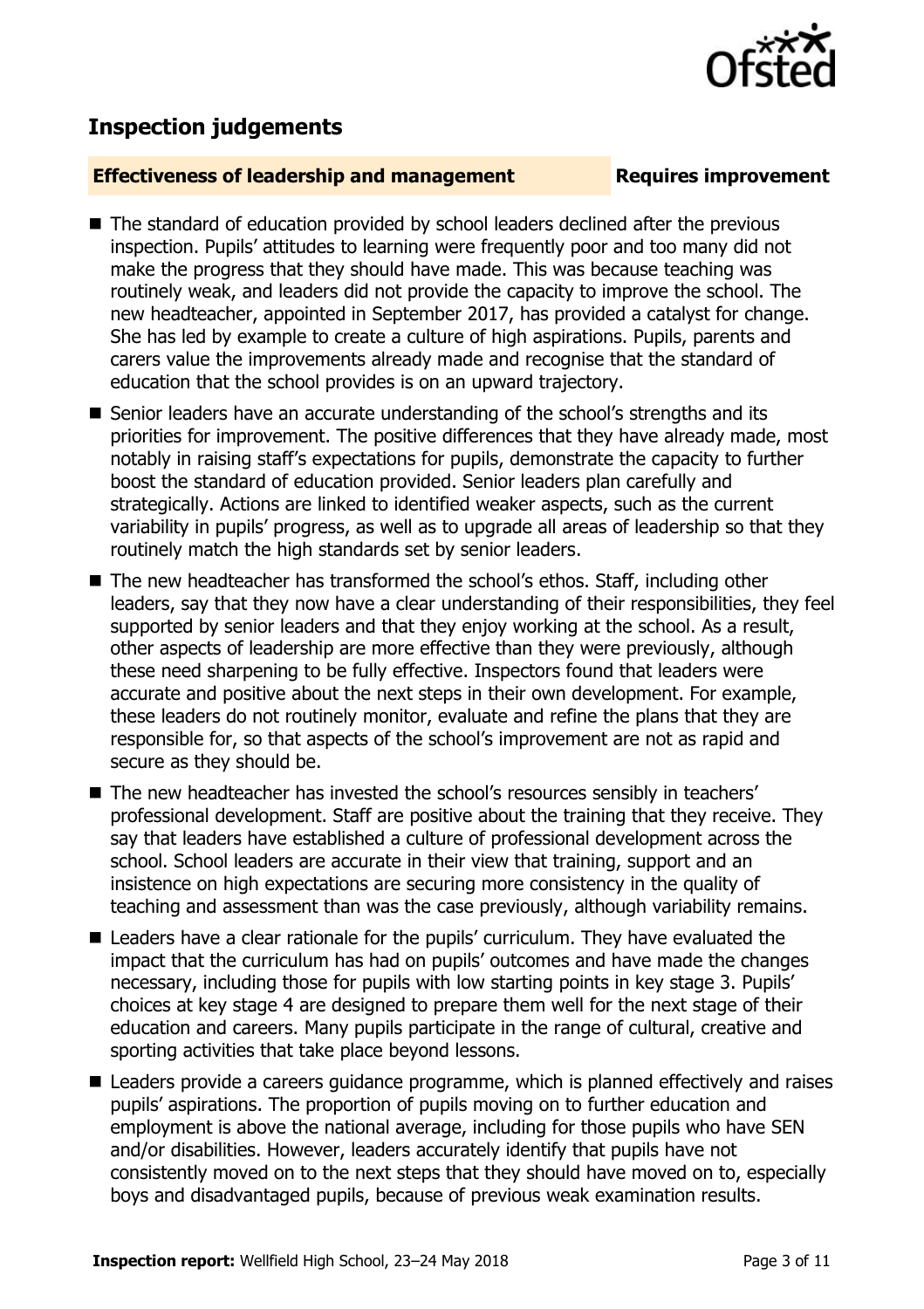# **Inspection judgements**

### **Effectiveness of leadership and management Requires improvement**

- The standard of education provided by school leaders declined after the previous inspection. Pupils' attitudes to learning were frequently poor and too many did not make the progress that they should have made. This was because teaching was routinely weak, and leaders did not provide the capacity to improve the school. The new headteacher, appointed in September 2017, has provided a catalyst for change. She has led by example to create a culture of high aspirations. Pupils, parents and carers value the improvements already made and recognise that the standard of education that the school provides is on an upward trajectory.
- Senior leaders have an accurate understanding of the school's strengths and its priorities for improvement. The positive differences that they have already made, most notably in raising staff's expectations for pupils, demonstrate the capacity to further boost the standard of education provided. Senior leaders plan carefully and strategically. Actions are linked to identified weaker aspects, such as the current variability in pupils' progress, as well as to upgrade all areas of leadership so that they routinely match the high standards set by senior leaders.
- The new headteacher has transformed the school's ethos. Staff, including other leaders, say that they now have a clear understanding of their responsibilities, they feel supported by senior leaders and that they enjoy working at the school. As a result, other aspects of leadership are more effective than they were previously, although these need sharpening to be fully effective. Inspectors found that leaders were accurate and positive about the next steps in their own development. For example, these leaders do not routinely monitor, evaluate and refine the plans that they are responsible for, so that aspects of the school's improvement are not as rapid and secure as they should be.
- The new headteacher has invested the school's resources sensibly in teachers' professional development. Staff are positive about the training that they receive. They say that leaders have established a culture of professional development across the school. School leaders are accurate in their view that training, support and an insistence on high expectations are securing more consistency in the quality of teaching and assessment than was the case previously, although variability remains.
- Leaders have a clear rationale for the pupils' curriculum. They have evaluated the impact that the curriculum has had on pupils' outcomes and have made the changes necessary, including those for pupils with low starting points in key stage 3. Pupils' choices at key stage 4 are designed to prepare them well for the next stage of their education and careers. Many pupils participate in the range of cultural, creative and sporting activities that take place beyond lessons.
- Leaders provide a careers guidance programme, which is planned effectively and raises pupils' aspirations. The proportion of pupils moving on to further education and employment is above the national average, including for those pupils who have SEN and/or disabilities. However, leaders accurately identify that pupils have not consistently moved on to the next steps that they should have moved on to, especially boys and disadvantaged pupils, because of previous weak examination results.

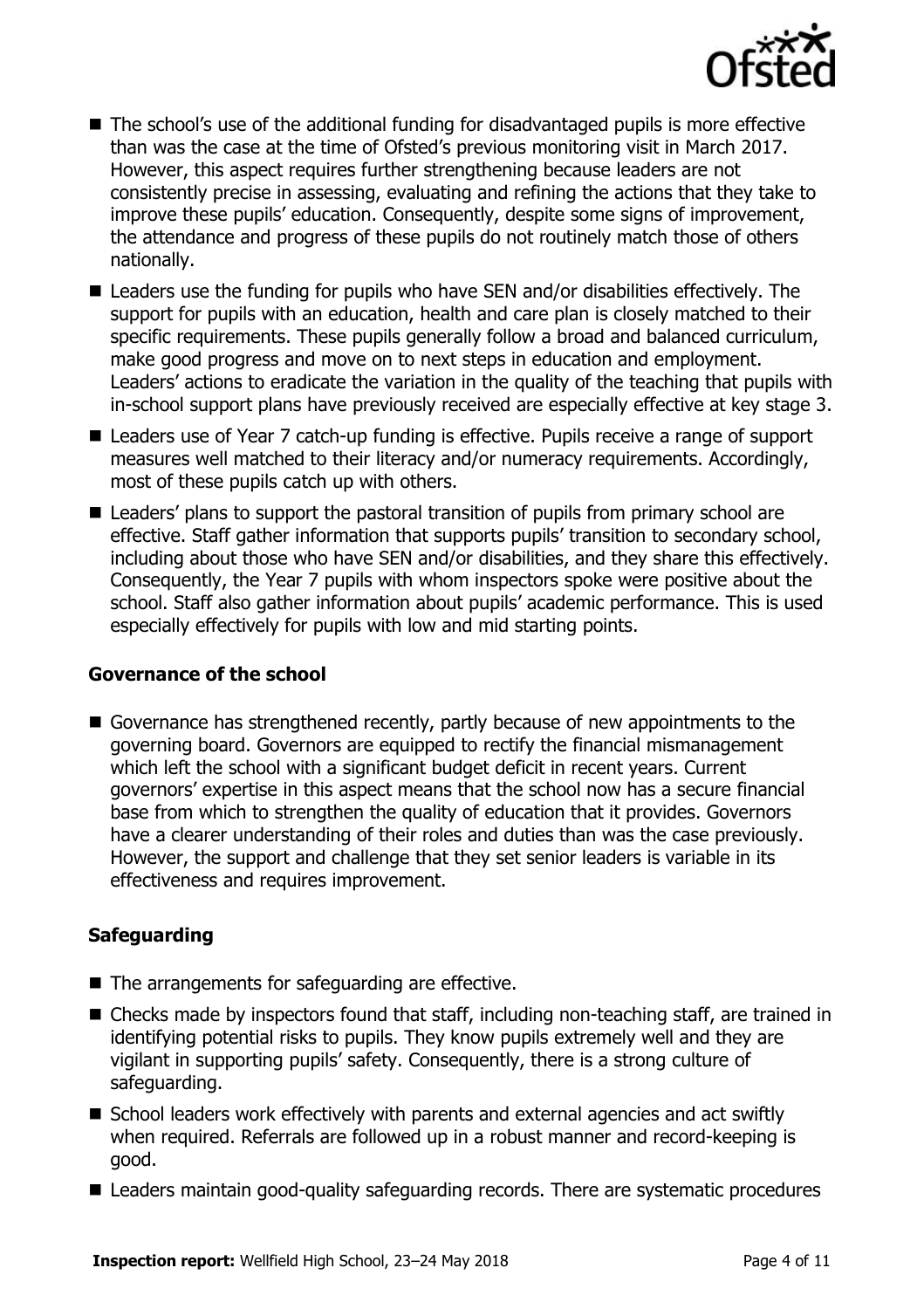

- The school's use of the additional funding for disadvantaged pupils is more effective than was the case at the time of Ofsted's previous monitoring visit in March 2017. However, this aspect requires further strengthening because leaders are not consistently precise in assessing, evaluating and refining the actions that they take to improve these pupils' education. Consequently, despite some signs of improvement, the attendance and progress of these pupils do not routinely match those of others nationally.
- Leaders use the funding for pupils who have SEN and/or disabilities effectively. The support for pupils with an education, health and care plan is closely matched to their specific requirements. These pupils generally follow a broad and balanced curriculum, make good progress and move on to next steps in education and employment. Leaders' actions to eradicate the variation in the quality of the teaching that pupils with in-school support plans have previously received are especially effective at key stage 3.
- Leaders use of Year 7 catch-up funding is effective. Pupils receive a range of support measures well matched to their literacy and/or numeracy requirements. Accordingly, most of these pupils catch up with others.
- Leaders' plans to support the pastoral transition of pupils from primary school are effective. Staff gather information that supports pupils' transition to secondary school, including about those who have SEN and/or disabilities, and they share this effectively. Consequently, the Year 7 pupils with whom inspectors spoke were positive about the school. Staff also gather information about pupils' academic performance. This is used especially effectively for pupils with low and mid starting points.

#### **Governance of the school**

Governance has strengthened recently, partly because of new appointments to the governing board. Governors are equipped to rectify the financial mismanagement which left the school with a significant budget deficit in recent years. Current governors' expertise in this aspect means that the school now has a secure financial base from which to strengthen the quality of education that it provides. Governors have a clearer understanding of their roles and duties than was the case previously. However, the support and challenge that they set senior leaders is variable in its effectiveness and requires improvement.

### **Safeguarding**

- The arrangements for safeguarding are effective.
- Checks made by inspectors found that staff, including non-teaching staff, are trained in identifying potential risks to pupils. They know pupils extremely well and they are vigilant in supporting pupils' safety. Consequently, there is a strong culture of safeguarding.
- School leaders work effectively with parents and external agencies and act swiftly when required. Referrals are followed up in a robust manner and record-keeping is good.
- Leaders maintain good-quality safeguarding records. There are systematic procedures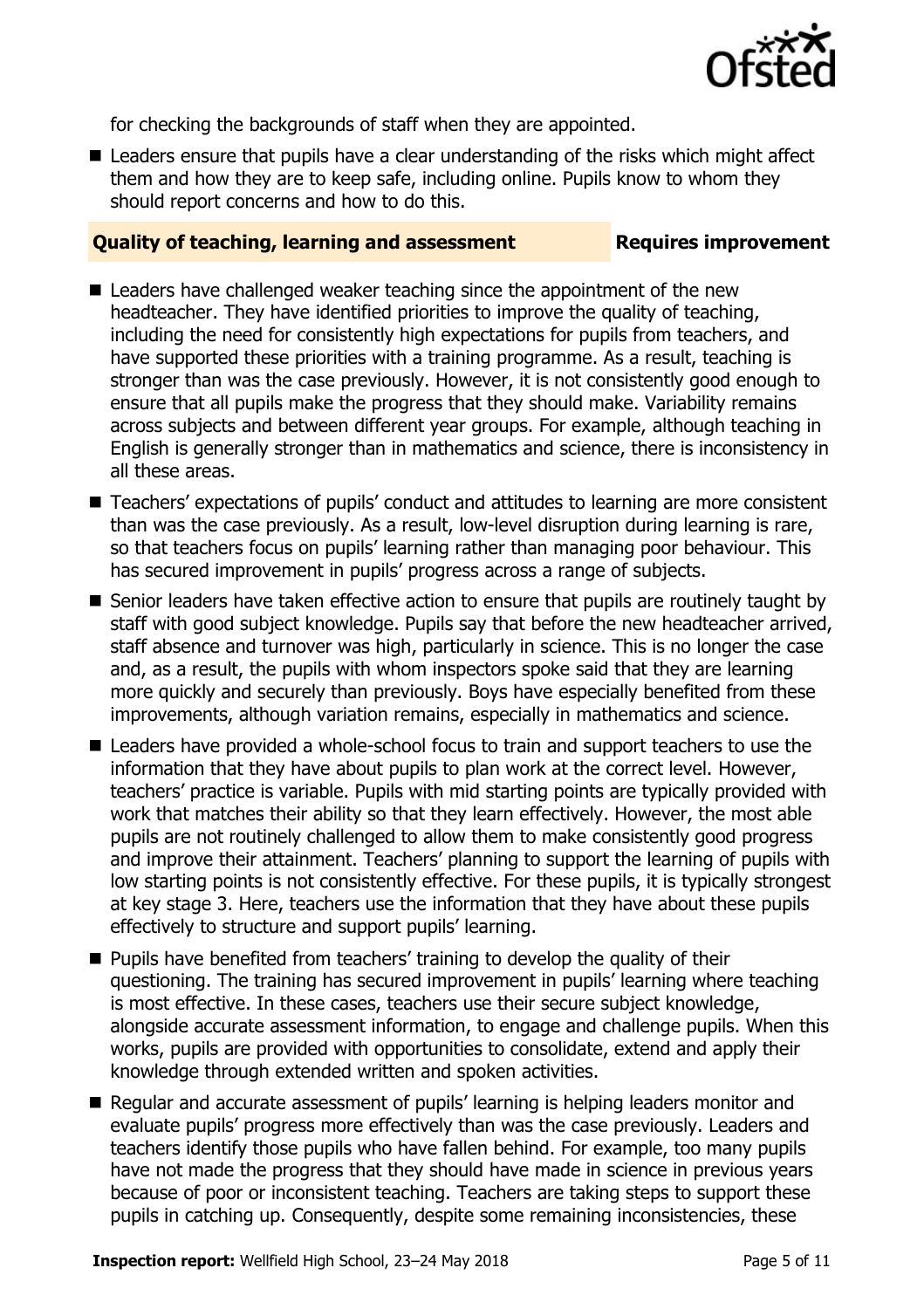

for checking the backgrounds of staff when they are appointed.

■ Leaders ensure that pupils have a clear understanding of the risks which might affect them and how they are to keep safe, including online. Pupils know to whom they should report concerns and how to do this.

### **Quality of teaching, learning and assessment Requires improvement**

- Leaders have challenged weaker teaching since the appointment of the new headteacher. They have identified priorities to improve the quality of teaching, including the need for consistently high expectations for pupils from teachers, and have supported these priorities with a training programme. As a result, teaching is stronger than was the case previously. However, it is not consistently good enough to ensure that all pupils make the progress that they should make. Variability remains across subjects and between different year groups. For example, although teaching in English is generally stronger than in mathematics and science, there is inconsistency in all these areas.
- Teachers' expectations of pupils' conduct and attitudes to learning are more consistent than was the case previously. As a result, low-level disruption during learning is rare, so that teachers focus on pupils' learning rather than managing poor behaviour. This has secured improvement in pupils' progress across a range of subjects.
- Senior leaders have taken effective action to ensure that pupils are routinely taught by staff with good subject knowledge. Pupils say that before the new headteacher arrived, staff absence and turnover was high, particularly in science. This is no longer the case and, as a result, the pupils with whom inspectors spoke said that they are learning more quickly and securely than previously. Boys have especially benefited from these improvements, although variation remains, especially in mathematics and science.
- Leaders have provided a whole-school focus to train and support teachers to use the information that they have about pupils to plan work at the correct level. However, teachers' practice is variable. Pupils with mid starting points are typically provided with work that matches their ability so that they learn effectively. However, the most able pupils are not routinely challenged to allow them to make consistently good progress and improve their attainment. Teachers' planning to support the learning of pupils with low starting points is not consistently effective. For these pupils, it is typically strongest at key stage 3. Here, teachers use the information that they have about these pupils effectively to structure and support pupils' learning.
- **Pupils have benefited from teachers' training to develop the quality of their** questioning. The training has secured improvement in pupils' learning where teaching is most effective. In these cases, teachers use their secure subject knowledge, alongside accurate assessment information, to engage and challenge pupils. When this works, pupils are provided with opportunities to consolidate, extend and apply their knowledge through extended written and spoken activities.
- Regular and accurate assessment of pupils' learning is helping leaders monitor and evaluate pupils' progress more effectively than was the case previously. Leaders and teachers identify those pupils who have fallen behind. For example, too many pupils have not made the progress that they should have made in science in previous years because of poor or inconsistent teaching. Teachers are taking steps to support these pupils in catching up. Consequently, despite some remaining inconsistencies, these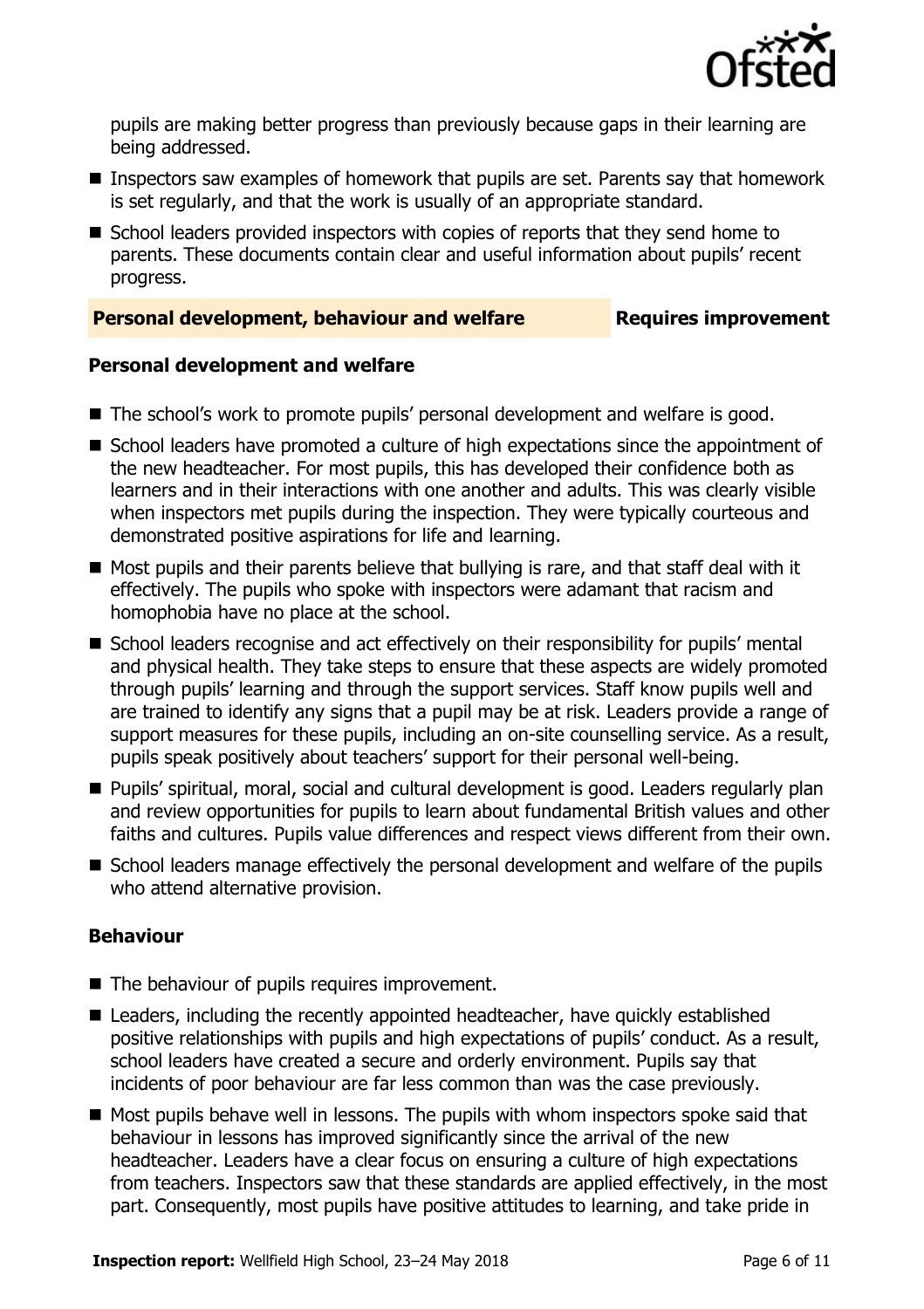

pupils are making better progress than previously because gaps in their learning are being addressed.

- Inspectors saw examples of homework that pupils are set. Parents say that homework is set regularly, and that the work is usually of an appropriate standard.
- School leaders provided inspectors with copies of reports that they send home to parents. These documents contain clear and useful information about pupils' recent progress.

### **Personal development, behaviour and welfare <b>Requires improvement**

#### **Personal development and welfare**

- The school's work to promote pupils' personal development and welfare is good.
- School leaders have promoted a culture of high expectations since the appointment of the new headteacher. For most pupils, this has developed their confidence both as learners and in their interactions with one another and adults. This was clearly visible when inspectors met pupils during the inspection. They were typically courteous and demonstrated positive aspirations for life and learning.
- Most pupils and their parents believe that bullying is rare, and that staff deal with it effectively. The pupils who spoke with inspectors were adamant that racism and homophobia have no place at the school.
- School leaders recognise and act effectively on their responsibility for pupils' mental and physical health. They take steps to ensure that these aspects are widely promoted through pupils' learning and through the support services. Staff know pupils well and are trained to identify any signs that a pupil may be at risk. Leaders provide a range of support measures for these pupils, including an on-site counselling service. As a result, pupils speak positively about teachers' support for their personal well-being.
- **Pupils' spiritual, moral, social and cultural development is good. Leaders regularly plan** and review opportunities for pupils to learn about fundamental British values and other faiths and cultures. Pupils value differences and respect views different from their own.
- School leaders manage effectively the personal development and welfare of the pupils who attend alternative provision.

### **Behaviour**

- The behaviour of pupils requires improvement.
- Leaders, including the recently appointed headteacher, have quickly established positive relationships with pupils and high expectations of pupils' conduct. As a result, school leaders have created a secure and orderly environment. Pupils say that incidents of poor behaviour are far less common than was the case previously.
- $\blacksquare$  Most pupils behave well in lessons. The pupils with whom inspectors spoke said that behaviour in lessons has improved significantly since the arrival of the new headteacher. Leaders have a clear focus on ensuring a culture of high expectations from teachers. Inspectors saw that these standards are applied effectively, in the most part. Consequently, most pupils have positive attitudes to learning, and take pride in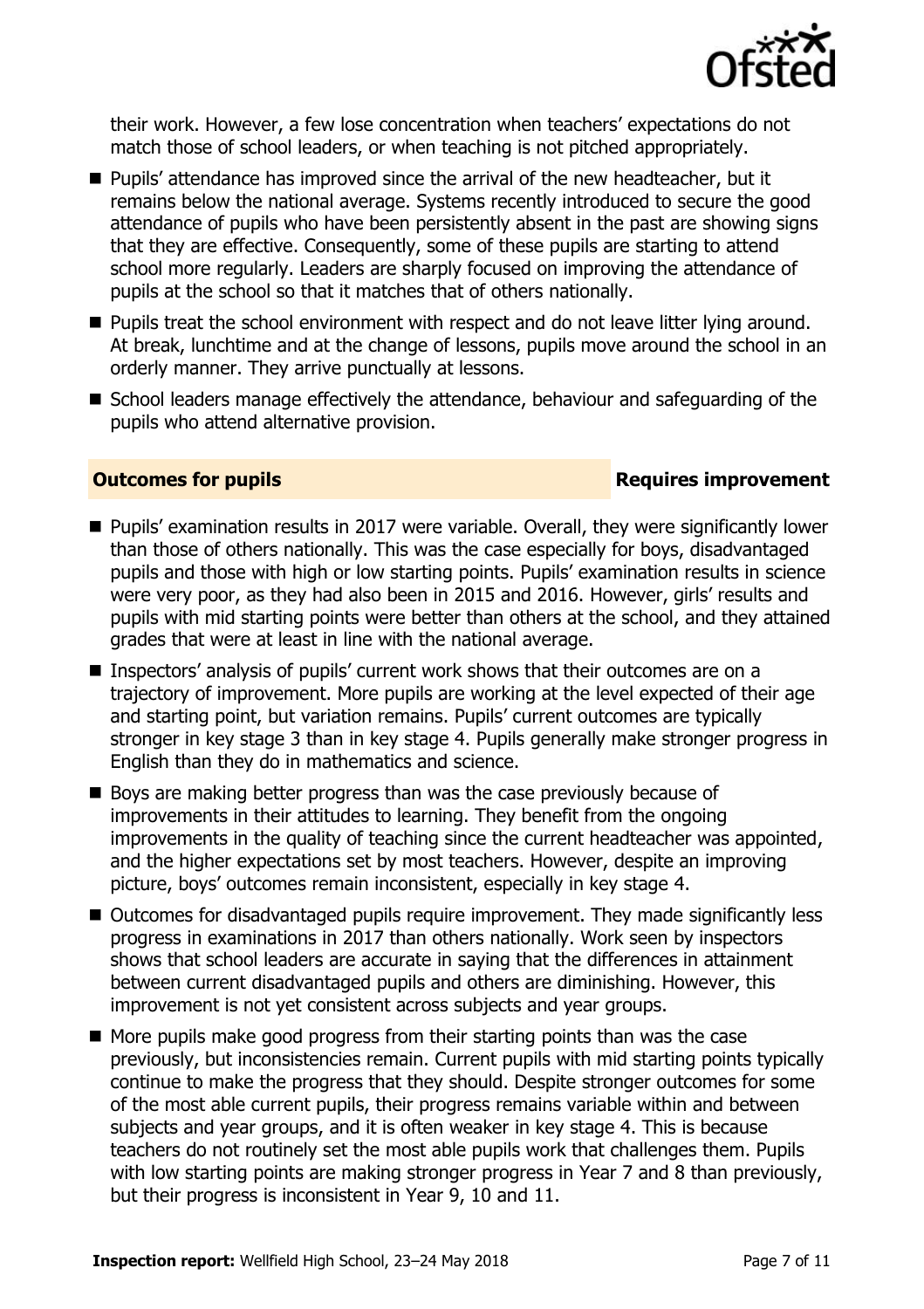

their work. However, a few lose concentration when teachers' expectations do not match those of school leaders, or when teaching is not pitched appropriately.

- **Pupils' attendance has improved since the arrival of the new headteacher, but it** remains below the national average. Systems recently introduced to secure the good attendance of pupils who have been persistently absent in the past are showing signs that they are effective. Consequently, some of these pupils are starting to attend school more regularly. Leaders are sharply focused on improving the attendance of pupils at the school so that it matches that of others nationally.
- **Pupils treat the school environment with respect and do not leave litter lying around.** At break, lunchtime and at the change of lessons, pupils move around the school in an orderly manner. They arrive punctually at lessons.
- School leaders manage effectively the attendance, behaviour and safeguarding of the pupils who attend alternative provision.

### **Outcomes for pupils Requires improvement**

- Pupils' examination results in 2017 were variable. Overall, they were significantly lower than those of others nationally. This was the case especially for boys, disadvantaged pupils and those with high or low starting points. Pupils' examination results in science were very poor, as they had also been in 2015 and 2016. However, girls' results and pupils with mid starting points were better than others at the school, and they attained grades that were at least in line with the national average.
- Inspectors' analysis of pupils' current work shows that their outcomes are on a trajectory of improvement. More pupils are working at the level expected of their age and starting point, but variation remains. Pupils' current outcomes are typically stronger in key stage 3 than in key stage 4. Pupils generally make stronger progress in English than they do in mathematics and science.
- Boys are making better progress than was the case previously because of improvements in their attitudes to learning. They benefit from the ongoing improvements in the quality of teaching since the current headteacher was appointed, and the higher expectations set by most teachers. However, despite an improving picture, boys' outcomes remain inconsistent, especially in key stage 4.
- Outcomes for disadvantaged pupils require improvement. They made significantly less progress in examinations in 2017 than others nationally. Work seen by inspectors shows that school leaders are accurate in saying that the differences in attainment between current disadvantaged pupils and others are diminishing. However, this improvement is not yet consistent across subjects and year groups.
- $\blacksquare$  More pupils make good progress from their starting points than was the case previously, but inconsistencies remain. Current pupils with mid starting points typically continue to make the progress that they should. Despite stronger outcomes for some of the most able current pupils, their progress remains variable within and between subjects and year groups, and it is often weaker in key stage 4. This is because teachers do not routinely set the most able pupils work that challenges them. Pupils with low starting points are making stronger progress in Year 7 and 8 than previously, but their progress is inconsistent in Year 9, 10 and 11.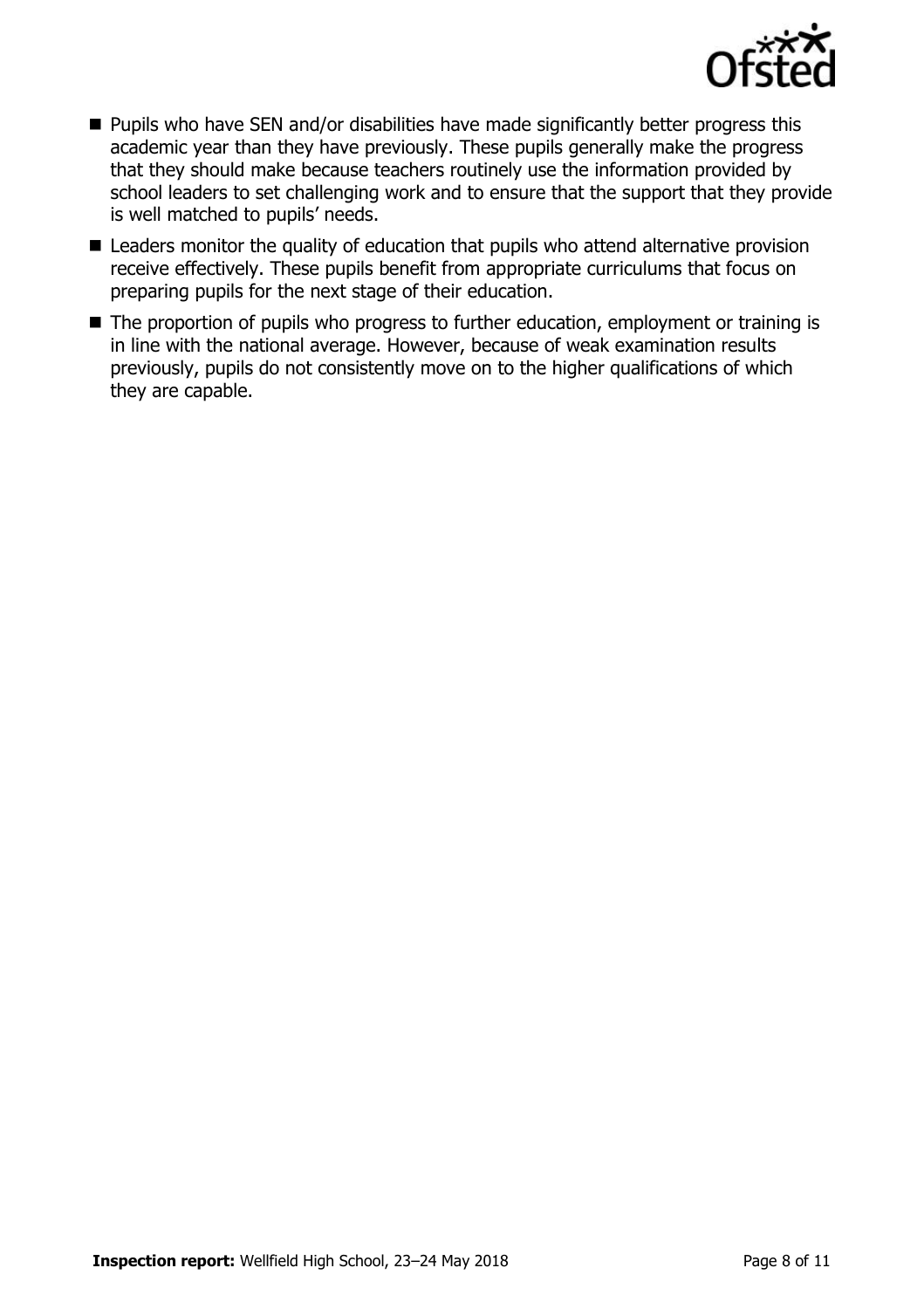

- $\blacksquare$  Pupils who have SEN and/or disabilities have made significantly better progress this academic year than they have previously. These pupils generally make the progress that they should make because teachers routinely use the information provided by school leaders to set challenging work and to ensure that the support that they provide is well matched to pupils' needs.
- Leaders monitor the quality of education that pupils who attend alternative provision receive effectively. These pupils benefit from appropriate curriculums that focus on preparing pupils for the next stage of their education.
- The proportion of pupils who progress to further education, employment or training is in line with the national average. However, because of weak examination results previously, pupils do not consistently move on to the higher qualifications of which they are capable.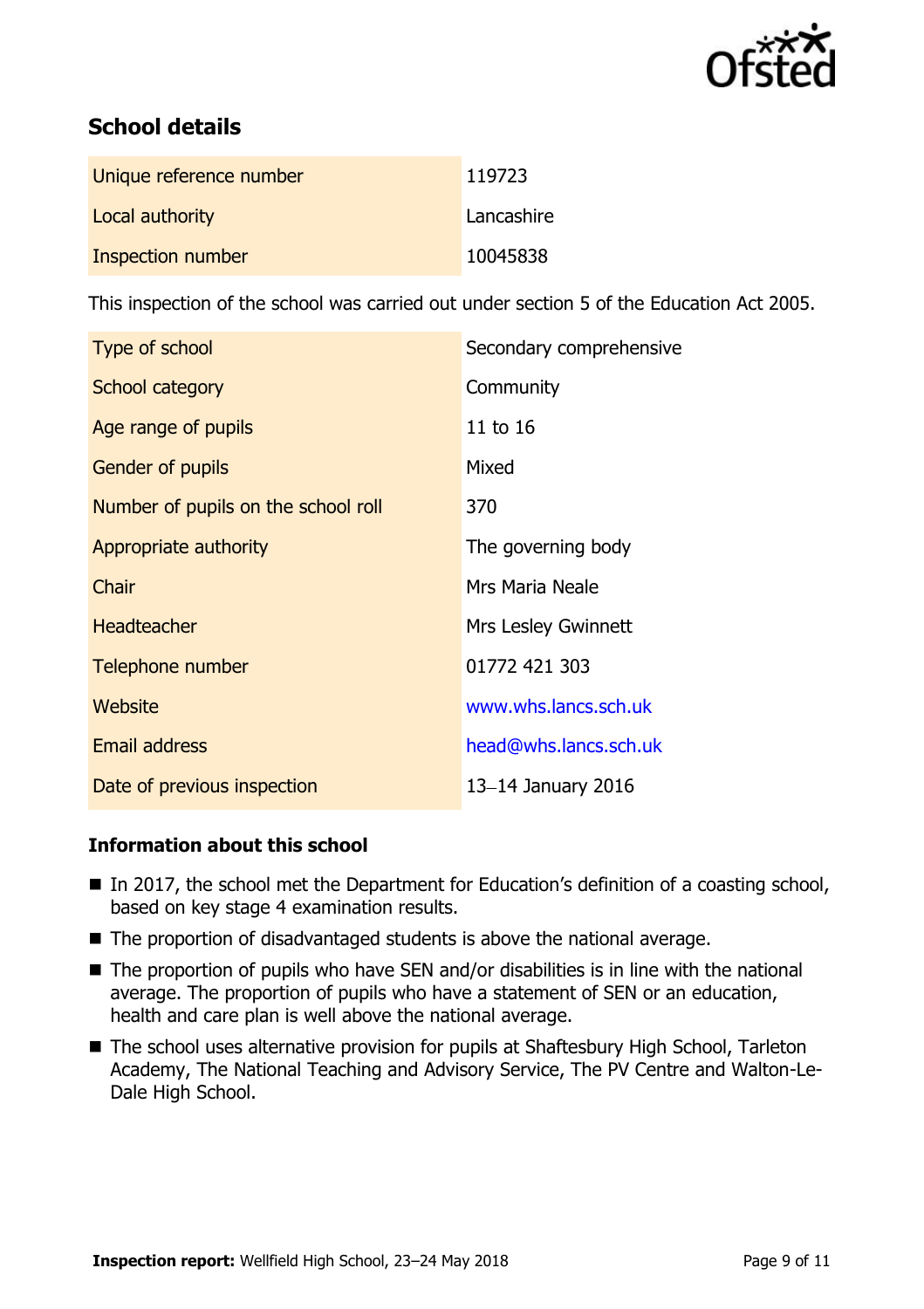

# **School details**

| Unique reference number | 119723     |
|-------------------------|------------|
| Local authority         | Lancashire |
| Inspection number       | 10045838   |

This inspection of the school was carried out under section 5 of the Education Act 2005.

| Type of school                      | Secondary comprehensive |
|-------------------------------------|-------------------------|
| School category                     | Community               |
| Age range of pupils                 | 11 to 16                |
| Gender of pupils                    | Mixed                   |
| Number of pupils on the school roll | 370                     |
| Appropriate authority               | The governing body      |
| Chair                               | Mrs Maria Neale         |
| <b>Headteacher</b>                  | Mrs Lesley Gwinnett     |
| Telephone number                    | 01772 421 303           |
| Website                             | www.whs.lancs.sch.uk    |
| <b>Email address</b>                | head@whs.lancs.sch.uk   |
| Date of previous inspection         | 13-14 January 2016      |

## **Information about this school**

- In 2017, the school met the Department for Education's definition of a coasting school, based on key stage 4 examination results.
- $\blacksquare$  The proportion of disadvantaged students is above the national average.
- The proportion of pupils who have SEN and/or disabilities is in line with the national average. The proportion of pupils who have a statement of SEN or an education, health and care plan is well above the national average.
- The school uses alternative provision for pupils at Shaftesbury High School, Tarleton Academy, The National Teaching and Advisory Service, The PV Centre and Walton-Le-Dale High School.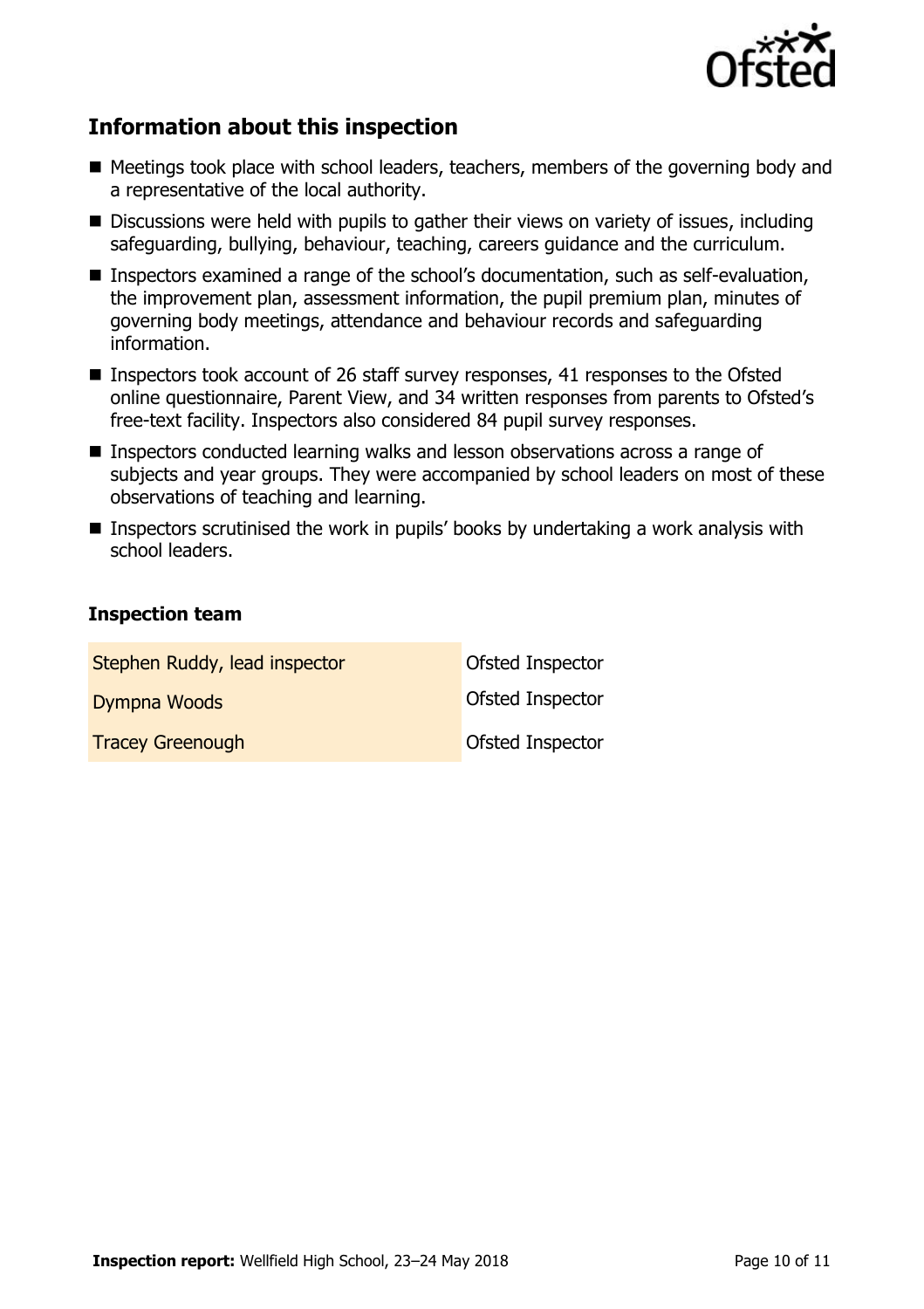

# **Information about this inspection**

- Meetings took place with school leaders, teachers, members of the governing body and a representative of the local authority.
- Discussions were held with pupils to gather their views on variety of issues, including safeguarding, bullying, behaviour, teaching, careers guidance and the curriculum.
- Inspectors examined a range of the school's documentation, such as self-evaluation, the improvement plan, assessment information, the pupil premium plan, minutes of governing body meetings, attendance and behaviour records and safeguarding information.
- Inspectors took account of 26 staff survey responses, 41 responses to the Ofsted online questionnaire, Parent View, and 34 written responses from parents to Ofsted's free-text facility. Inspectors also considered 84 pupil survey responses.
- Inspectors conducted learning walks and lesson observations across a range of subjects and year groups. They were accompanied by school leaders on most of these observations of teaching and learning.
- **Inspectors scrutinised the work in pupils' books by undertaking a work analysis with** school leaders.

### **Inspection team**

| Stephen Ruddy, lead inspector | Ofsted Inspector |
|-------------------------------|------------------|
| Dympna Woods                  | Ofsted Inspector |
| <b>Tracey Greenough</b>       | Ofsted Inspector |